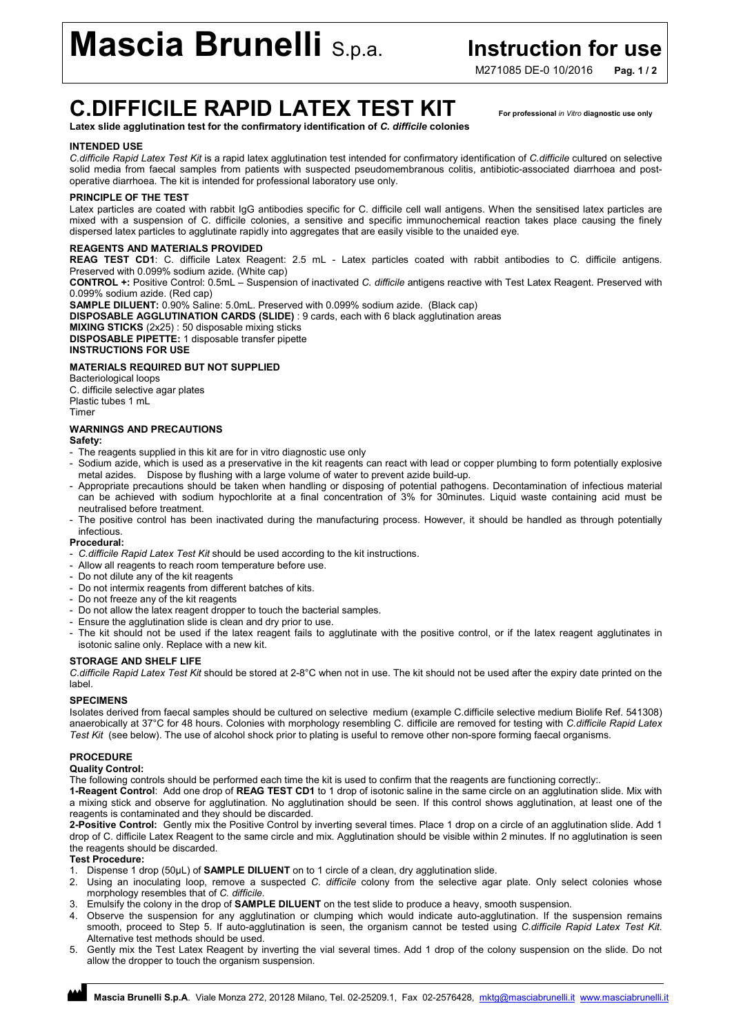# **Mascia Brunelli** S.p.a. **Instruction for use**

M271085 DF-0 10/2016 Pag. 1/2

## C.DIFFICILE RAPID LATEX TEST KIT For professional *in Vitro* diagnostic use only

Latex slide agglutination test for the confirmatory identification of *C. difficile* colonies

#### INTENDED USE

*C.difficile Rapid Latex Test Kit* is a rapid latex agglutination test intended for confirmatory identification of *C.difficile* cultured on selective solid media from faecal samples from patients with suspected pseudomembranous colitis, antibiotic-associated diarrhoea and postoperative diarrhoea. The kit is intended for professional laboratory use only.

#### PRINCIPLE OF THE TEST

Latex particles are coated with rabbit IgG antibodies specific for C. difficile cell wall antigens. When the sensitised latex particles are mixed with a suspension of C. difficile colonies, a sensitive and specific immunochemical reaction takes place causing the finely dispersed latex particles to agglutinate rapidly into aggregates that are easily visible to the unaided eye.

#### REAGENTS AND MATERIALS PROVIDED

REAG TEST CD1: C. difficile Latex Reagent: 2.5 mL - Latex particles coated with rabbit antibodies to C. difficile antigens. Preserved with 0.099% sodium azide. (White cap)

CONTROL +: Positive Control: 0.5mL – Suspension of inactivated *C. difficile* antigens reactive with Test Latex Reagent. Preserved with 0.099% sodium azide. (Red cap)

SAMPLE DILUENT: 0.90% Saline: 5.0mL. Preserved with 0.099% sodium azide. (Black cap)

DISPOSABLE AGGLUTINATION CARDS (SLIDE) : 9 cards, each with 6 black agglutination areas

MIXING STICKS (2x25) : 50 disposable mixing sticks DISPOSABLE PIPETTE: 1 disposable transfer pipette INSTRUCTIONS FOR USE

### MATERIALS REQUIRED BUT NOT SUPPLIED

Bacteriological loops C. difficile selective agar plates Plastic tubes 1 mL Timer

### WARNINGS AND PRECAUTIONS

#### Safety:

- The reagents supplied in this kit are for in vitro diagnostic use only
- Sodium azide, which is used as a preservative in the kit reagents can react with lead or copper plumbing to form potentially explosive metal azides. Dispose by flushing with a large volume of water to prevent azide build-up.
- Appropriate precautions should be taken when handling or disposing of potential pathogens. Decontamination of infectious material can be achieved with sodium hypochlorite at a final concentration of 3% for 30minutes. Liquid waste containing acid must be neutralised before treatment.
- The positive control has been inactivated during the manufacturing process. However, it should be handled as through potentially infectious.

#### Procedural:

- *C.difficile Rapid Latex Test Kit* should be used according to the kit instructions.
- Allow all reagents to reach room temperature before use.
- Do not dilute any of the kit reagents
- Do not intermix reagents from different batches of kits.
- Do not freeze any of the kit reagents
- Do not allow the latex reagent dropper to touch the bacterial samples.
- Ensure the agglutination slide is clean and dry prior to use.
- The kit should not be used if the latex reagent fails to agglutinate with the positive control, or if the latex reagent agglutinates in isotonic saline only. Replace with a new kit.

#### STORAGE AND SHELF LIFE

*C.difficile Rapid Latex Test Kit* should be stored at 2-8°C when not in use. The kit should not be used after the expiry date printed on the label.

#### SPECIMENS

Isolates derived from faecal samples should be cultured on selective medium (example C.difficile selective medium Biolife Ref. 541308) anaerobically at 37°C for 48 hours. Colonies with morphology resembling C. difficile are removed for testing with *C.difficile Rapid Latex Test Kit* (see below). The use of alcohol shock prior to plating is useful to remove other non-spore forming faecal organisms.

### PROCEDURE

#### Quality Control:

The following controls should be performed each time the kit is used to confirm that the reagents are functioning correctly:.

1-Reagent Control: Add one drop of REAG TEST CD1 to 1 drop of isotonic saline in the same circle on an agglutination slide. Mix with a mixing stick and observe for agglutination. No agglutination should be seen. If this control shows agglutination, at least one of the reagents is contaminated and they should be discarded.

2-Positive Control: Gently mix the Positive Control by inverting several times. Place 1 drop on a circle of an agglutination slide. Add 1 drop of C. difficile Latex Reagent to the same circle and mix. Agglutination should be visible within 2 minutes. If no agglutination is seen the reagents should be discarded.

#### Test Procedure:

- 1. Dispense 1 drop (50μL) of SAMPLE DILUENT on to 1 circle of a clean, dry agglutination slide.
- 2. Using an inoculating loop, remove a suspected *C. difficile* colony from the selective agar plate. Only select colonies whose morphology resembles that of *C. difficile*.
- 3. Emulsify the colony in the drop of SAMPLE DILUENT on the test slide to produce a heavy, smooth suspension.
- 4. Observe the suspension for any agglutination or clumping which would indicate auto-agglutination. If the suspension remains smooth, proceed to Step 5. If auto-agglutination is seen, the organism cannot be tested using *C.difficile Rapid Latex Test Kit*. Alternative test methods should be used.
- 5. Gently mix the Test Latex Reagent by inverting the vial several times. Add 1 drop of the colony suspension on the slide. Do not allow the dropper to touch the organism suspension.